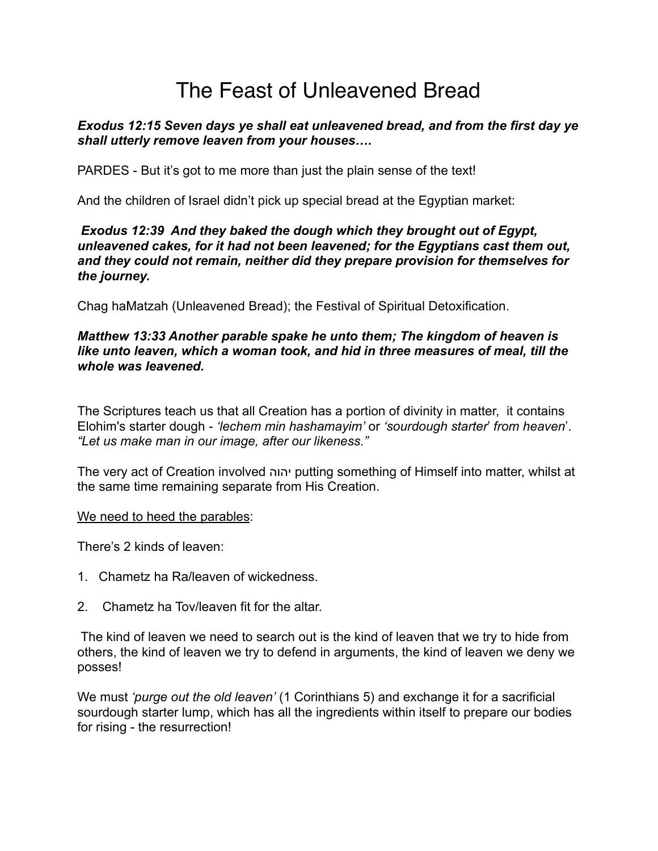# The Feast of Unleavened Bread

## *Exodus 12:15 Seven days ye shall eat unleavened bread, and from the first day ye shall utterly remove leaven from your houses….*

PARDES - But it's got to me more than just the plain sense of the text!

And the children of Israel didn't pick up special bread at the Egyptian market:

## *Exodus 12:39 And they baked the dough which they brought out of Egypt, unleavened cakes, for it had not been leavened; for the Egyptians cast them out, and they could not remain, neither did they prepare provision for themselves for the journey.*

Chag haMatzah (Unleavened Bread); the Festival of Spiritual Detoxification.

## *Matthew 13:33 Another parable spake he unto them; The kingdom of heaven is like unto leaven, which a woman took, and hid in three measures of meal, till the whole was leavened.*

The Scriptures teach us that all Creation has a portion of divinity in matter, it contains Elohim's starter dough - *'lechem min hashamayim'* or *'sourdough starter*' *from heaven*'. *"Let us make man in our image, after our likeness."*

The very act of Creation involved יהוה putting something of Himself into matter, whilst at the same time remaining separate from His Creation.

## We need to heed the parables:

There's 2 kinds of leaven:

- 1. Chametz ha Ra/leaven of wickedness.
- 2. Chametz ha Tov/leaven fit for the altar.

 The kind of leaven we need to search out is the kind of leaven that we try to hide from others, the kind of leaven we try to defend in arguments, the kind of leaven we deny we posses!

We must *'purge out the old leaven'* (1 Corinthians 5) and exchange it for a sacrificial sourdough starter lump, which has all the ingredients within itself to prepare our bodies for rising - the resurrection!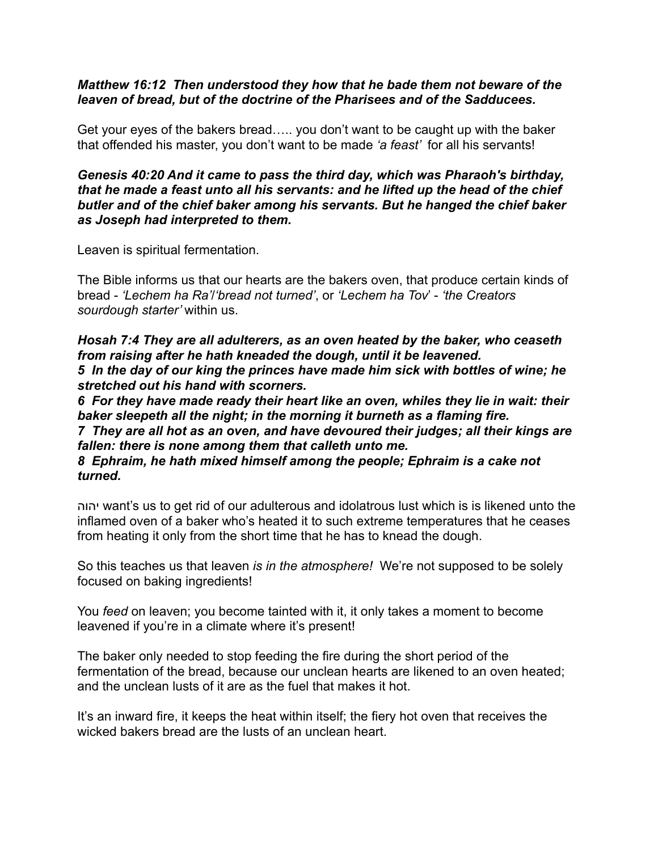#### *Matthew 16:12 Then understood they how that he bade them not beware of the leaven of bread, but of the doctrine of the Pharisees and of the Sadducees.*

Get your eyes of the bakers bread….. you don't want to be caught up with the baker that offended his master, you don't want to be made *'a feast'* for all his servants!

*Genesis 40:20 And it came to pass the third day, which was Pharaoh's birthday, that he made a feast unto all his servants: and he lifted up the head of the chief butler and of the chief baker among his servants. But he hanged the chief baker as Joseph had interpreted to them.*

Leaven is spiritual fermentation.

The Bible informs us that our hearts are the bakers oven, that produce certain kinds of bread - *'Lechem ha Ra'*/*'bread not turned'*, or *'Lechem ha Tov*' - *'the Creators sourdough starter'* within us.

*Hosah 7:4 They are all adulterers, as an oven heated by the baker, who ceaseth from raising after he hath kneaded the dough, until it be leavened. 5 In the day of our king the princes have made him sick with bottles of wine; he stretched out his hand with scorners.*

*6 For they have made ready their heart like an oven, whiles they lie in wait: their baker sleepeth all the night; in the morning it burneth as a flaming fire.*

*7 They are all hot as an oven, and have devoured their judges; all their kings are fallen: there is none among them that calleth unto me.*

*8 Ephraim, he hath mixed himself among the people; Ephraim is a cake not turned.*

יהוה want's us to get rid of our adulterous and idolatrous lust which is is likened unto the inflamed oven of a baker who's heated it to such extreme temperatures that he ceases from heating it only from the short time that he has to knead the dough.

So this teaches us that leaven *is in the atmosphere!* We're not supposed to be solely focused on baking ingredients!

You *feed* on leaven; you become tainted with it, it only takes a moment to become leavened if you're in a climate where it's present!

The baker only needed to stop feeding the fire during the short period of the fermentation of the bread, because our unclean hearts are likened to an oven heated; and the unclean lusts of it are as the fuel that makes it hot.

It's an inward fire, it keeps the heat within itself; the fiery hot oven that receives the wicked bakers bread are the lusts of an unclean heart.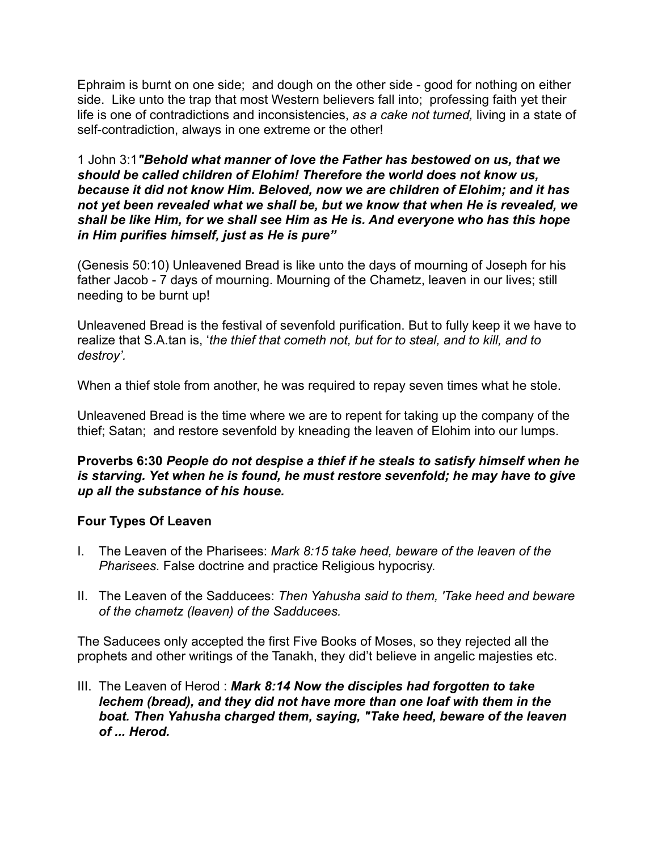Ephraim is burnt on one side; and dough on the other side - good for nothing on either side. Like unto the trap that most Western believers fall into; professing faith yet their life is one of contradictions and inconsistencies, *as a cake not turned,* living in a state of self-contradiction, always in one extreme or the other!

1 John 3:1*"Behold what manner of love the Father has bestowed on us, that we should be called children of Elohim! Therefore the world does not know us, because it did not know Him. Beloved, now we are children of Elohim; and it has not yet been revealed what we shall be, but we know that when He is revealed, we shall be like Him, for we shall see Him as He is. And everyone who has this hope in Him purifies himself, just as He is pure"* 

(Genesis 50:10) Unleavened Bread is like unto the days of mourning of Joseph for his father Jacob - 7 days of mourning. Mourning of the Chametz, leaven in our lives; still needing to be burnt up!

Unleavened Bread is the festival of sevenfold purification. But to fully keep it we have to realize that S.A.tan is, '*the thief that cometh not, but for to steal, and to kill, and to destroy'.* 

When a thief stole from another, he was required to repay seven times what he stole.

Unleavened Bread is the time where we are to repent for taking up the company of the thief; Satan; and restore sevenfold by kneading the leaven of Elohim into our lumps.

## **Proverbs 6:30** *People do not despise a thief if he steals to satisfy himself when he is starving. Yet when he is found, he must restore sevenfold; he may have to give up all the substance of his house.*

# **Four Types Of Leaven**

- I. The Leaven of the Pharisees: *Mark 8:15 take heed, beware of the leaven of the Pharisees.* False doctrine and practice Religious hypocrisy.
- II. The Leaven of the Sadducees: *Then Yahusha said to them, 'Take heed and beware of the chametz (leaven) of the Sadducees.*

The Saducees only accepted the first Five Books of Moses, so they rejected all the prophets and other writings of the Tanakh, they did't believe in angelic majesties etc.

III. The Leaven of Herod : *Mark 8:14 Now the disciples had forgotten to take lechem (bread), and they did not have more than one loaf with them in the boat. Then Yahusha charged them, saying, "Take heed, beware of the leaven of ... Herod.*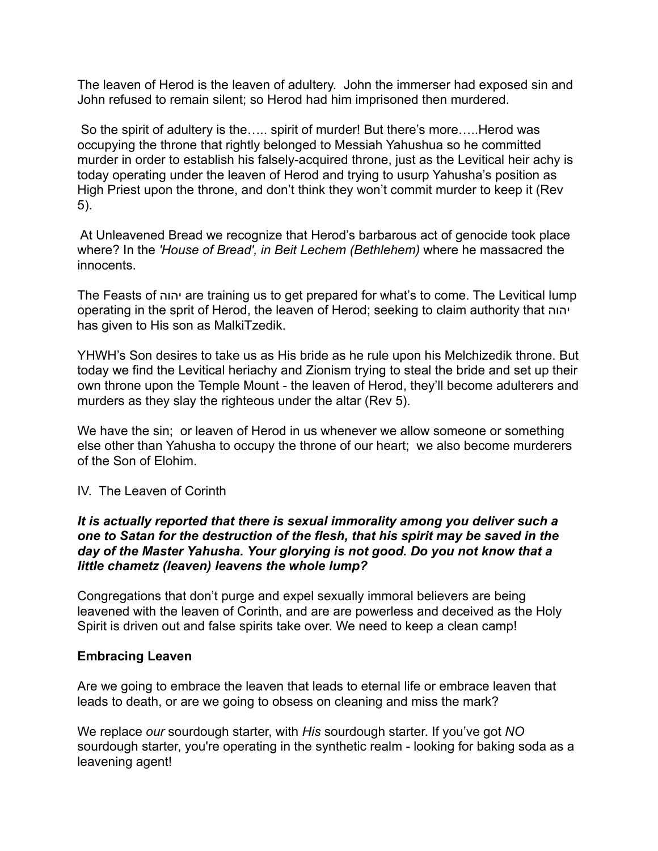The leaven of Herod is the leaven of adultery. John the immerser had exposed sin and John refused to remain silent; so Herod had him imprisoned then murdered.

So the spirit of adultery is the….. spirit of murder! But there's more.....Herod was occupying the throne that rightly belonged to Messiah Yahushua so he committed murder in order to establish his falsely-acquired throne, just as the Levitical heir achy is today operating under the leaven of Herod and trying to usurp Yahusha's position as High Priest upon the throne, and don't think they won't commit murder to keep it (Rev 5).

 At Unleavened Bread we recognize that Herod's barbarous act of genocide took place where? In the *'House of Bread', in Beit Lechem (Bethlehem)* where he massacred the innocents.

The Feasts of יהוה are training us to get prepared for what's to come. The Levitical lump operating in the sprit of Herod, the leaven of Herod; seeking to claim authority that יהוה has given to His son as MalkiTzedik.

YHWH's Son desires to take us as His bride as he rule upon his Melchizedik throne. But today we find the Levitical heriachy and Zionism trying to steal the bride and set up their own throne upon the Temple Mount - the leaven of Herod, they'll become adulterers and murders as they slay the righteous under the altar (Rev 5).

We have the sin; or leaven of Herod in us whenever we allow someone or something else other than Yahusha to occupy the throne of our heart; we also become murderers of the Son of Elohim.

# IV. The Leaven of Corinth

## *It is actually reported that there is sexual immorality among you deliver such a one to Satan for the destruction of the flesh, that his spirit may be saved in the day of the Master Yahusha. Your glorying is not good. Do you not know that a little chametz (leaven) leavens the whole lump?*

Congregations that don't purge and expel sexually immoral believers are being leavened with the leaven of Corinth, and are are powerless and deceived as the Holy Spirit is driven out and false spirits take over. We need to keep a clean camp!

## **Embracing Leaven**

Are we going to embrace the leaven that leads to eternal life or embrace leaven that leads to death, or are we going to obsess on cleaning and miss the mark?

We replace *our* sourdough starter, with *His* sourdough starter. If you've got *NO* sourdough starter, you're operating in the synthetic realm - looking for baking soda as a leavening agent!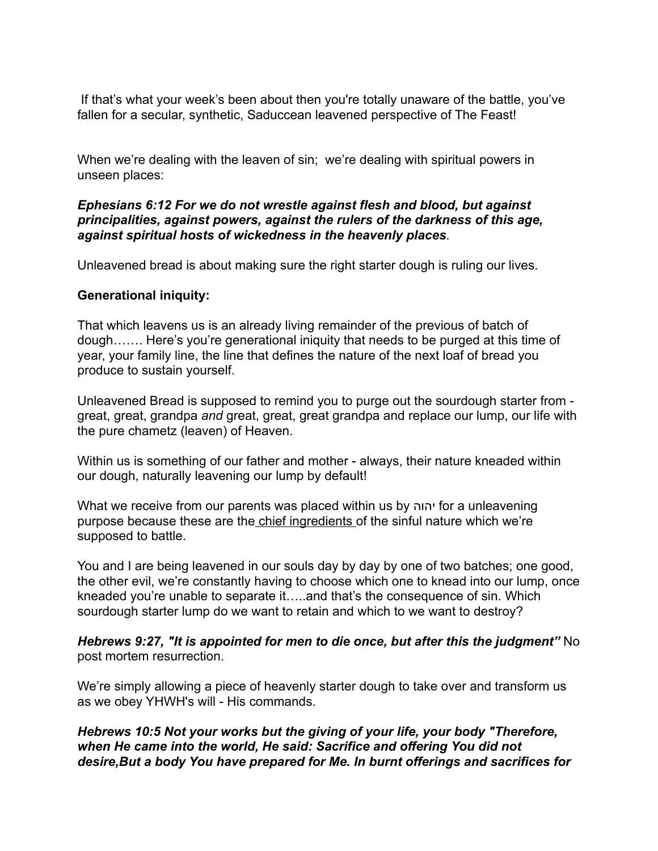If that's what your week's been about then you're totally unaware of the battle, you've fallen for a secular, synthetic, Saduccean leavened perspective of The Feast!

When we're dealing with the leaven of sin; we're dealing with spiritual powers in unseen places:

## *Ephesians 6:12 For we do not wrestle against flesh and blood, but against principalities, against powers, against the rulers of the darkness of this age, against spiritual hosts of wickedness in the heavenly places.*

Unleavened bread is about making sure the right starter dough is ruling our lives.

## **Generational iniquity:**

That which leavens us is an already living remainder of the previous of batch of dough……. Here's you're generational iniquity that needs to be purged at this time of year, your family line, the line that defines the nature of the next loaf of bread you produce to sustain yourself.

Unleavened Bread is supposed to remind you to purge out the sourdough starter from great, great, grandpa *and* great, great, great grandpa and replace our lump, our life with the pure chametz (leaven) of Heaven.

Within us is something of our father and mother - always, their nature kneaded within our dough, naturally leavening our lump by default!

What we receive from our parents was placed within us by יהוה for a unleavening purpose because these are the chief ingredients of the sinful nature which we're supposed to battle.

You and I are being leavened in our souls day by day by one of two batches; one good, the other evil, we're constantly having to choose which one to knead into our lump, once kneaded you're unable to separate it…..and that's the consequence of sin. Which sourdough starter lump do we want to retain and which to we want to destroy?

*Hebrews 9:27, "It is appointed for men to die once, but after this the judgment"* No post mortem resurrection.

We're simply allowing a piece of heavenly starter dough to take over and transform us as we obey YHWH's will - His commands.

*Hebrews 10:5 Not your works but the giving of your life, your body "Therefore, when He came into the world, He said: Sacrifice and offering You did not desire,But a body You have prepared for Me. In burnt offerings and sacrifices for*